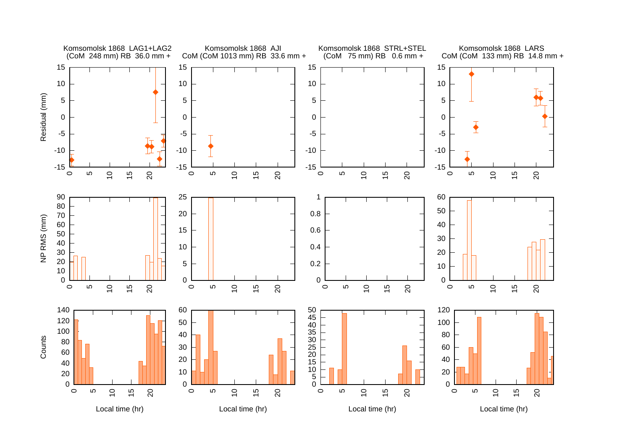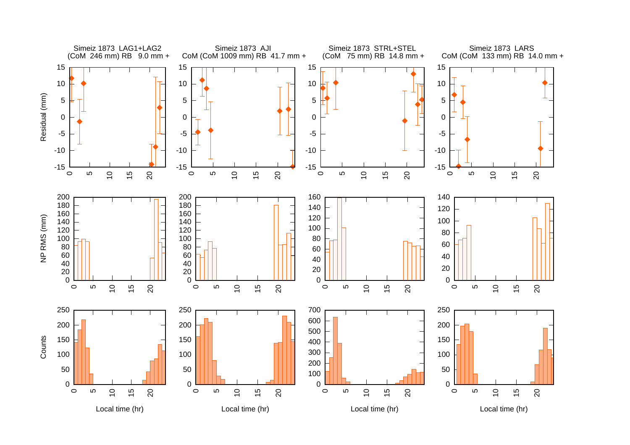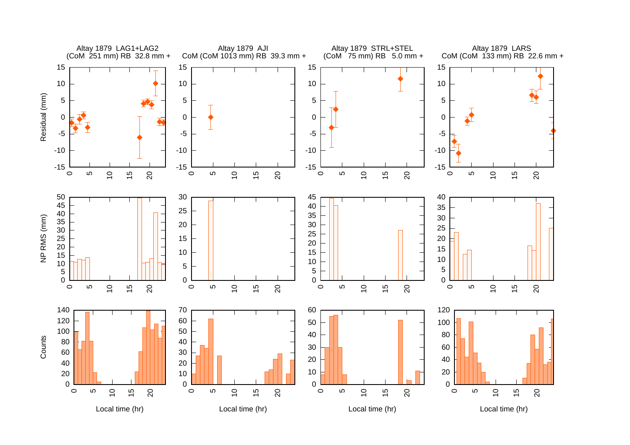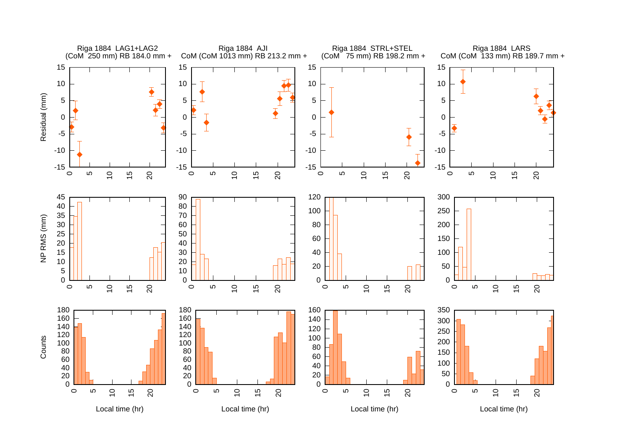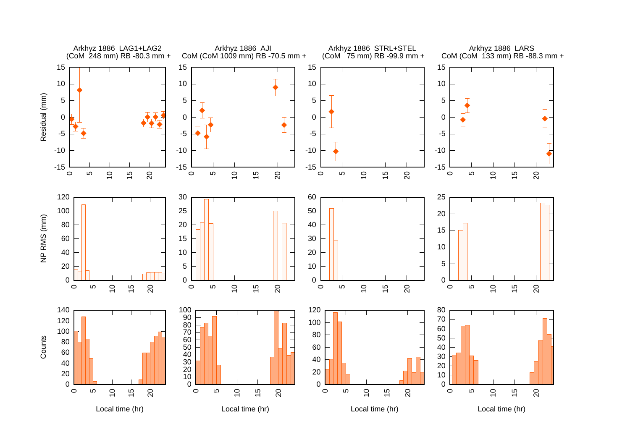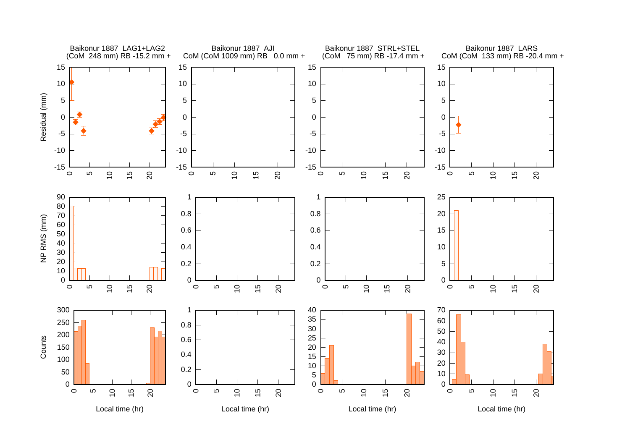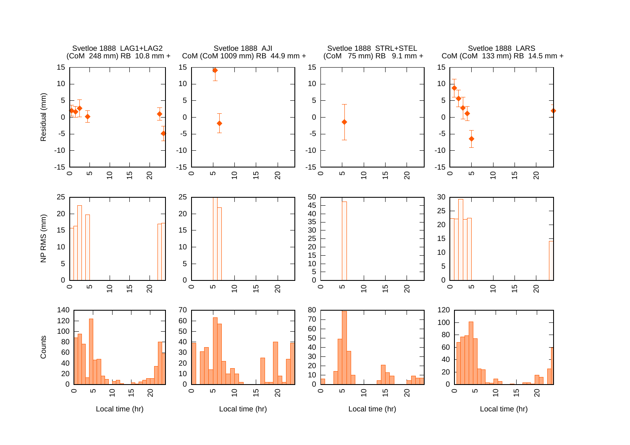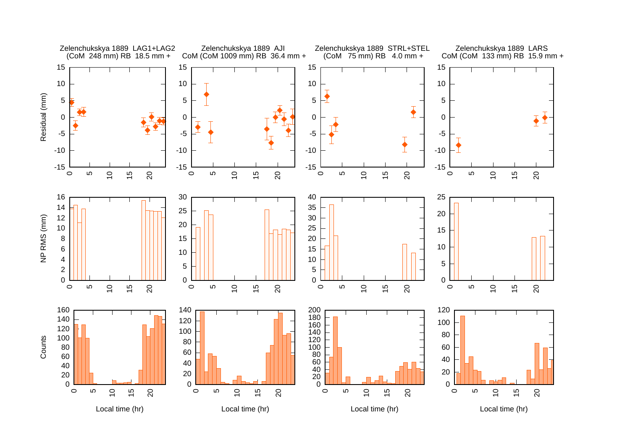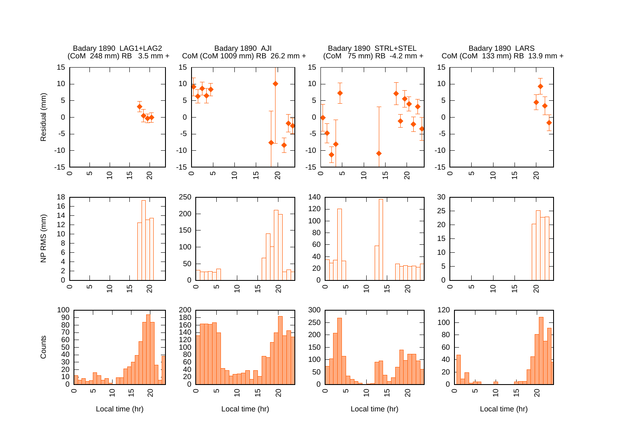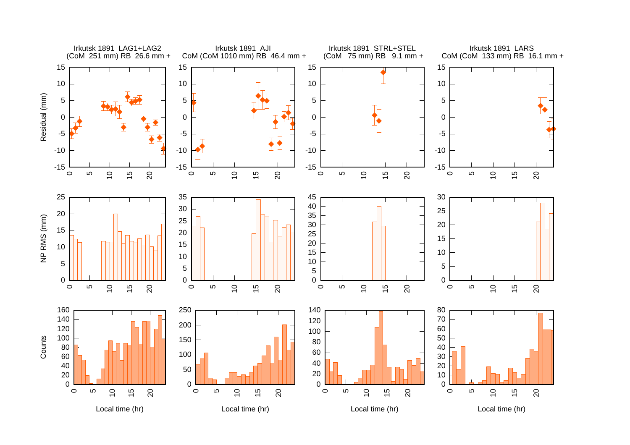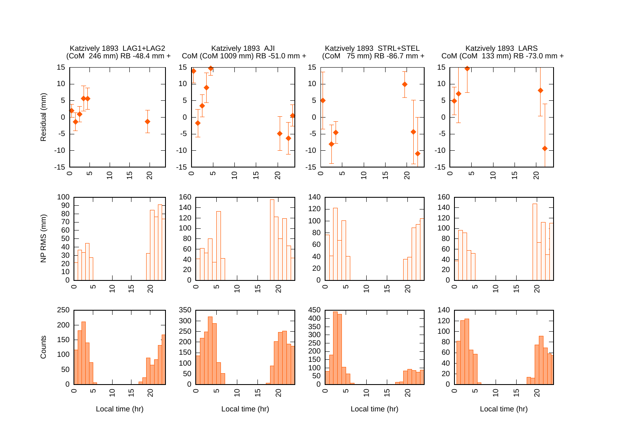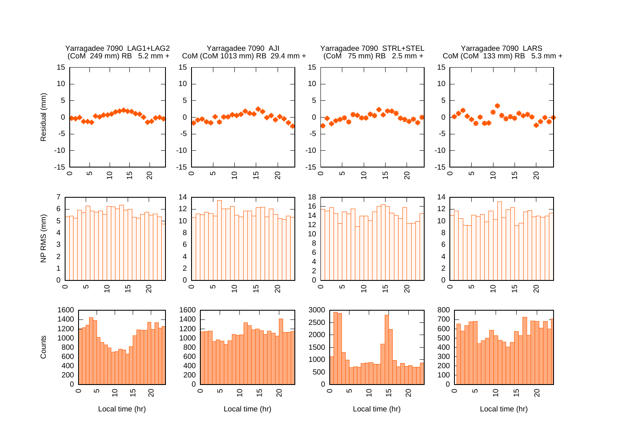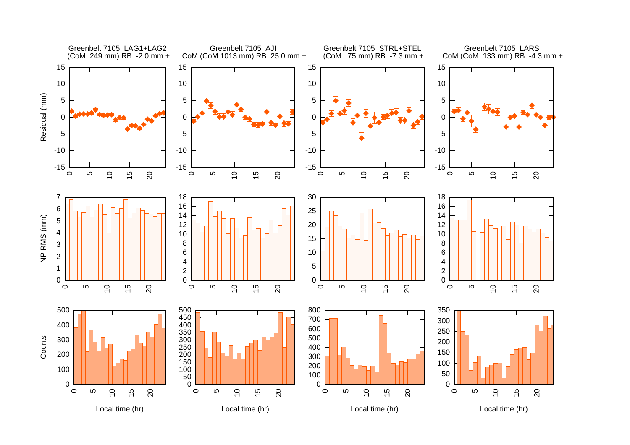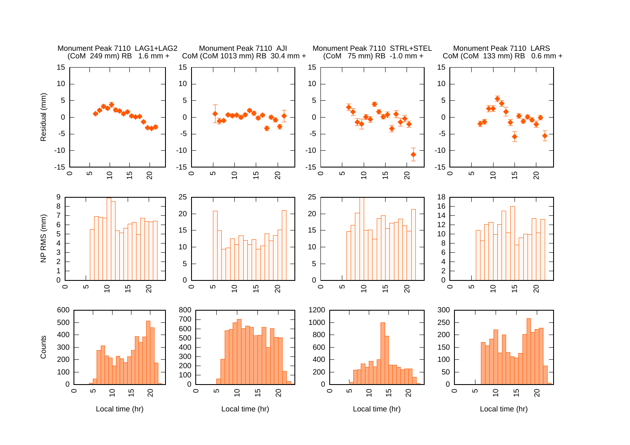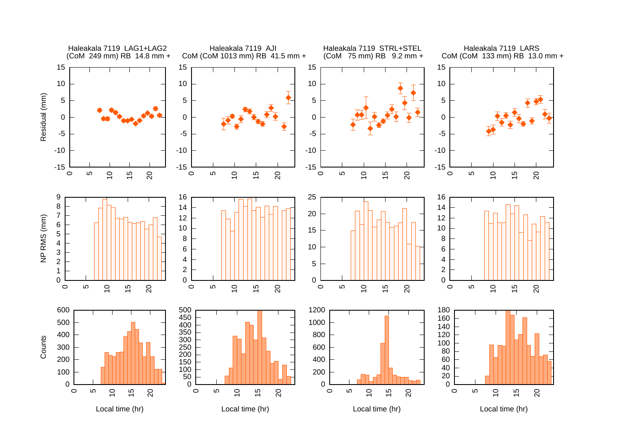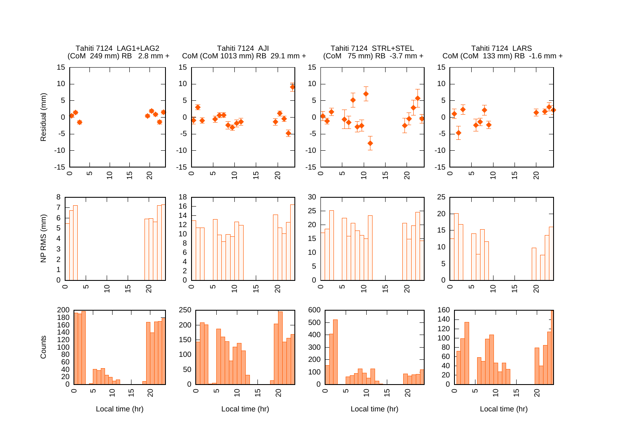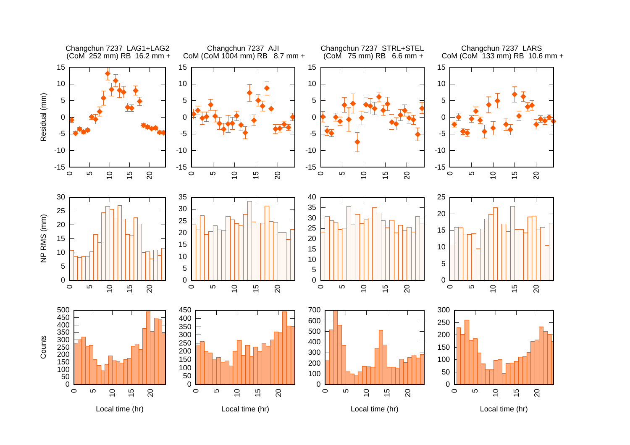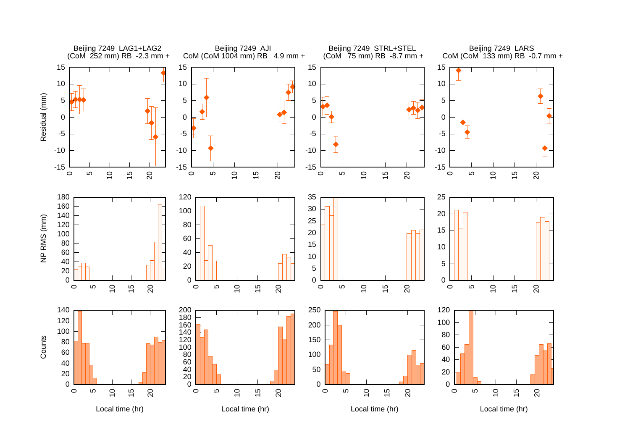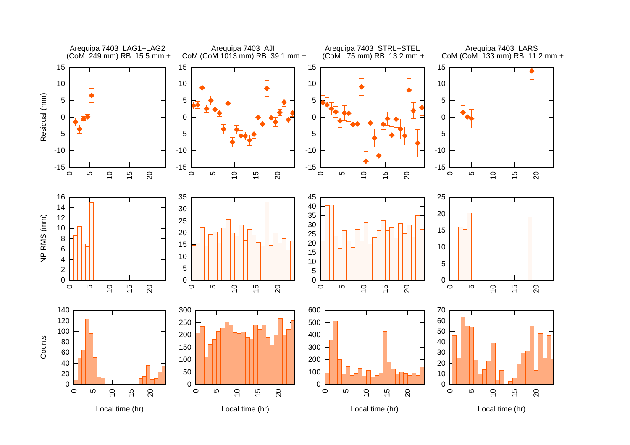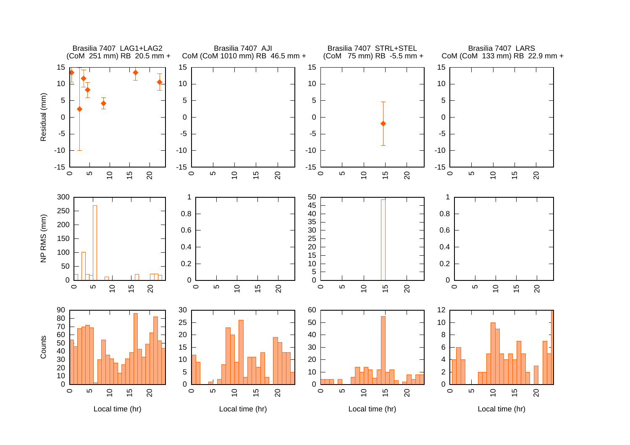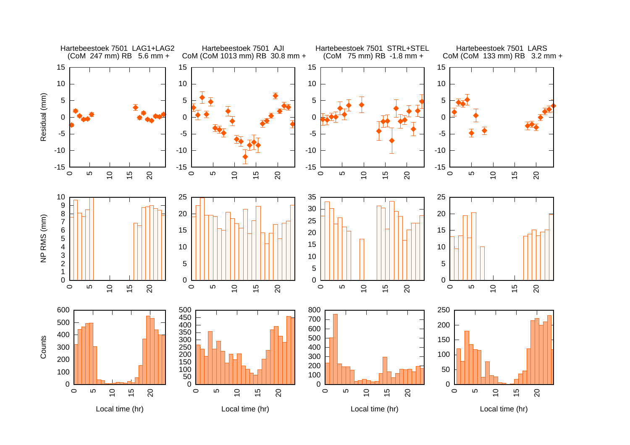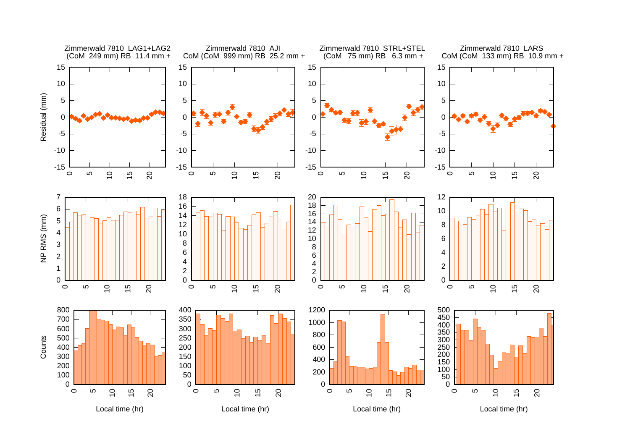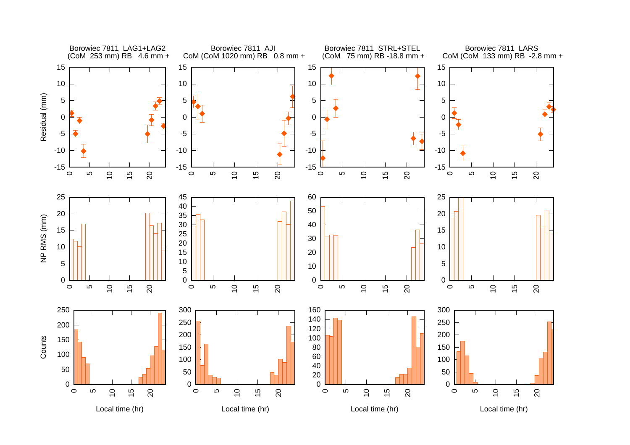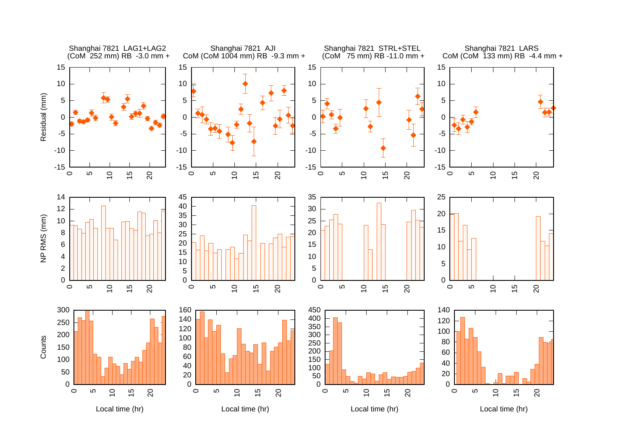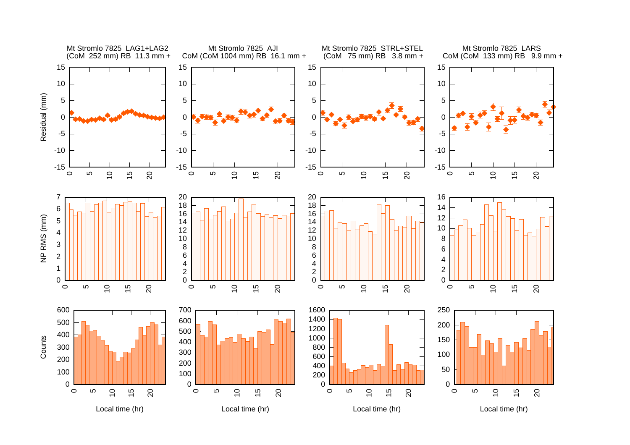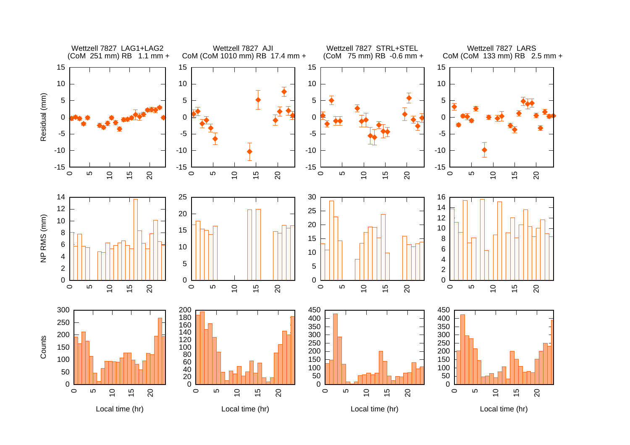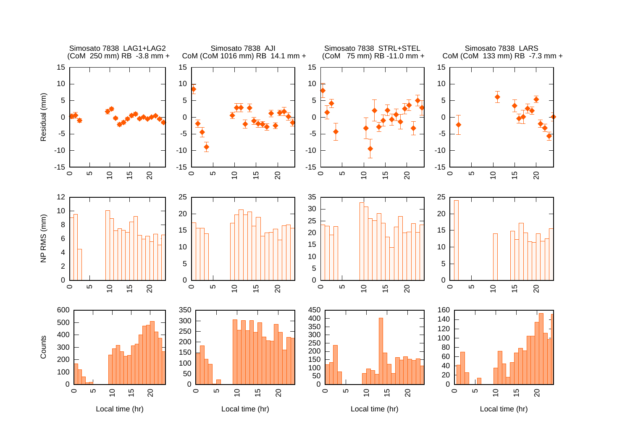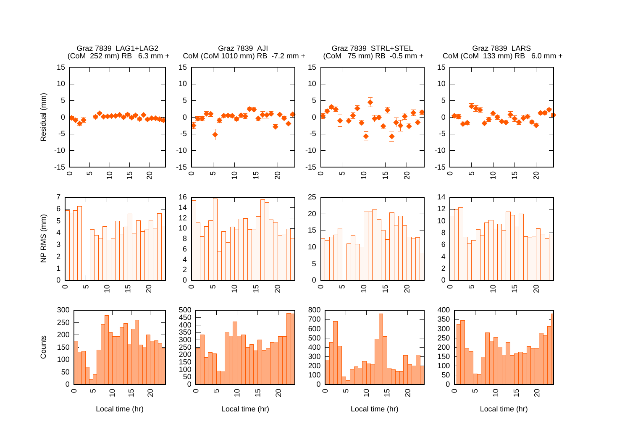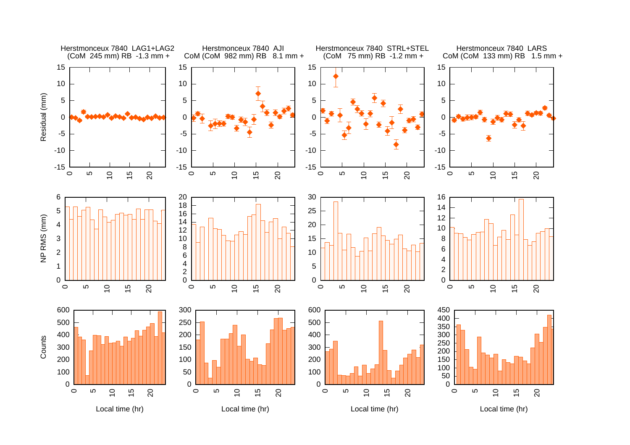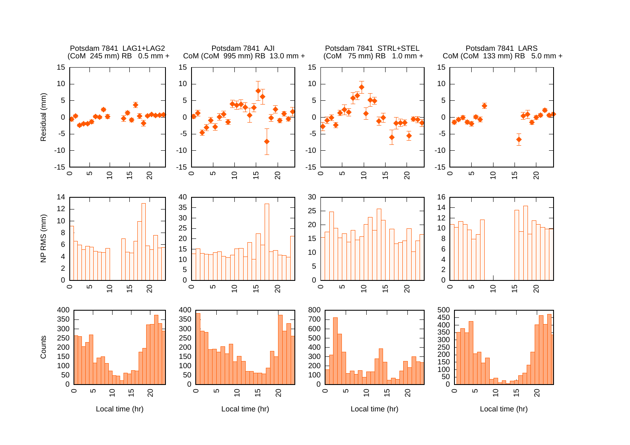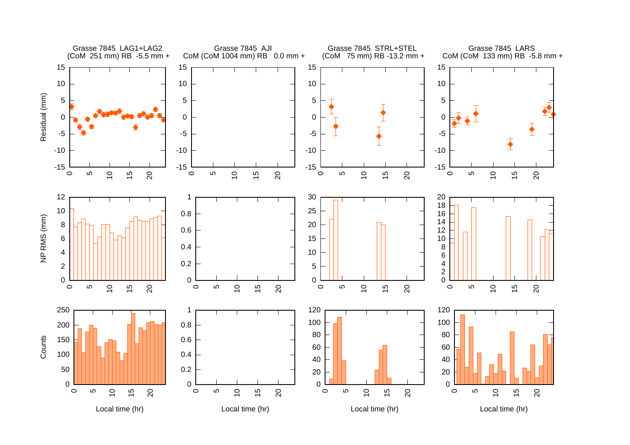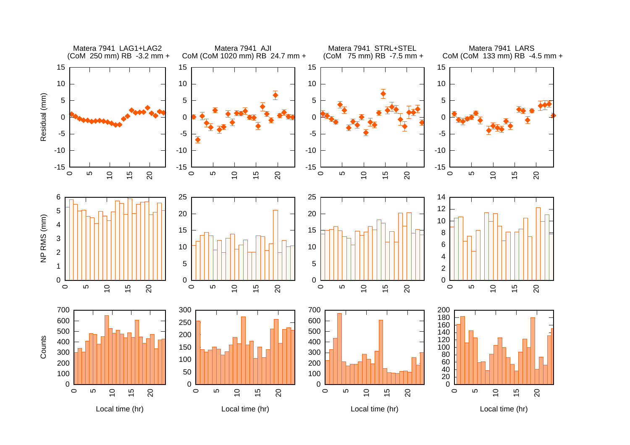